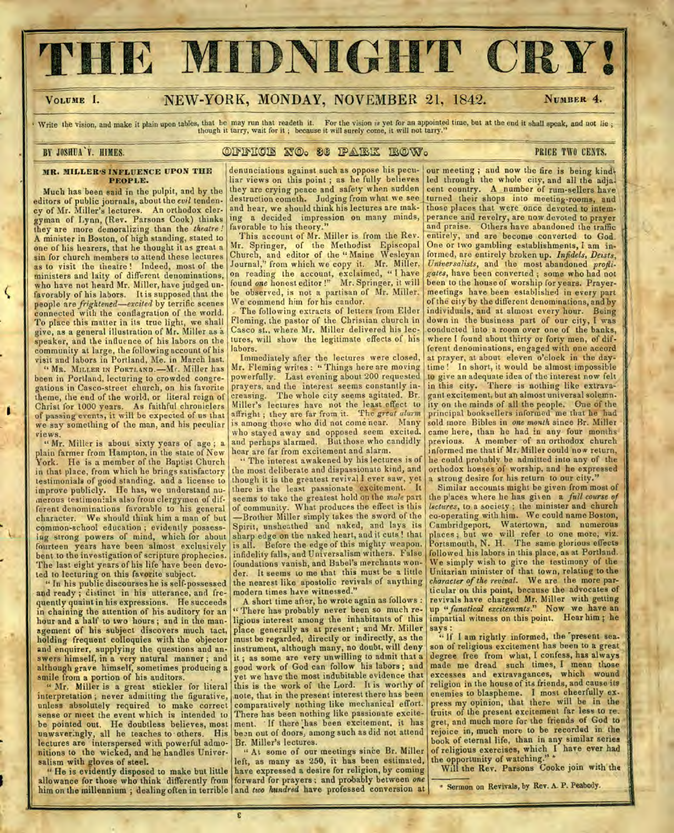# **HE MIDNIGHT CRY!**

## VOLUME I. NEW-YORK, MONDAY, NOVEMBER 21, 1842. NUMBER 4.

*.40* 

**2,** 

Write the vision, and make it plain upon tables, that he may run that readeth it. For the vision is yet for an appointed time, but at the end it shall speak, and not lie;<br>though it tarry, wait for it; because it will surel

# **- -**

#### **MR. MILLER'S INFLUENCE UPON THE PEOPLE.**

Much has been said in the pulpit, and by the editors of public journals, about the *evil* tendency of Mr. Miller's lectures. An orthodox clergyman of Lynn, (Rev. Parsons Cook) thinks they are more demoralizing than the *theatre !*  A minister in Boston, of high standing, stated to one of his hearers, that he thought it as great a sin for church members to attend these lectures as to visit the theatre ! Indeed, most of the ministers and laity of different denominations, who have not heard Mr. Miller, have judged unfavorably of his labors. It is supposed that the people are *frightened—excited* by terrific scenes connected with the conflagration of the world. To place this matter in its true light, we shall give, as a general illustration of Mr. Miller as a speaker, and the influence of his labors on the community at large, the following account of his visit and labors in Portland, Me. in March last.

" MR. MILLER IN PORTLAND.—Mr. Miller has been in Portland, lecturing to crowded congregations in Casco-street church, on his favorite theme, the end of the world, or literal reign of Christ for 1000 years. As faithful chroniclers of passing events, it will be expected of us that we say something of the man, and his peculiar views.

" Mr. Miller is about sixty years of age; a plain farmer from Hampton, in the state of New York. He is a member of the Baptist Church in that place, from which he brings satisfactory testimonials of good standing, and a license to improve publicly. He has, we understand numerous testimonials also from clergymen of different denominations favorable to his general We should think him a man of but common-school education ; evidently possessing strong powers of mind, which for about fourteen years have been almost exclusively bent to the investigation of scripture prophecies. The last eight years of his life have been devoted to lecturing on this favorite subject.

" In his public discourses he is self-possessed and ready ; distinct in his utterance, and frequently quaint in his expressions. He succeeds in chaining the attention of his auditory for an hour and a half to two hours ; and in the management of his subject discovers much tact, holding frequent colloquies with the objector and enquirer, supplying the questions and answers himself, in a very natural manner ; and although grave himself, sometimes producing a smile from a portion of his auditors.

" Mr. Miller is a great stickler for literal interpretation ; never admitting the figurative, unless absolutely required to make correct sense or meet the event which is intended to be pointed out. He doubtless believes, most unwaveringly, all he teaches to • others. His lectures are interspersed with powerful admonitions to the wicked, and he handles Universalism with gloves of steel.

" He is evidently disposed to make but little allowance for those who think differently from forward for prayers ; and probably between *one*  him on the millennium; dealing often in terrible and *two hundred* have professed conversion at sermon on Revivals, by Rev. A. P. Peabody.

denunciations against such as oppose his pecu- our meeting ; and now the fire is being kind-<br>liar views on this point ; as he fully believes led through the whole city, and all the adjaliar views on this point ; as he fully believes they are crying peace and safety when sudden ing a decided impression on many minds,<br>favorable to his theory."<br>This account of Mr. Miller is from the Rev.

Mr. Springer, of the Methodist Episcopal Church, and editor of the "Maine Wesleyan Journal," from which we copy it. Mr. Miller, Church, and editor of the " Maine Wesleyan formed, are entirely broken up. *Infidels, Deists,*  Journal," from which we copy it. Mr. Miller, *Universalists*, and the most abandoned *profli*on reading the account, exclaimed, "I have<br>found *one* honest editor!" Mr. Springer, it will<br>be observed, is not a partisan of Mr. Miller.

Casco st.. where Mr. Miller delivered his lec-<br>tures, will show the legitimate effects of his

Mr. Fleming writes : " Things here are moving<br>powerfully. Last evening about 200 requested

the most deliberate and dispassionate kind, and orthodox houses of worship, and he expressed than the expression of  $\alpha$  is the greatest revival lever saw, yet a strong desire for his return to our city. though it is the greatest revival I ever saw, yet there is the least passionate excitement. It seems to take the greatest hold on the *male* part the p'aces where he has given a *full course of* of community. What produces the effect is this *lectures*, to a society; the minister and church of community. What produces the effect is this *lectures*, to a society; the minister and church -Brother Miller simply takes the sword of the co-operating with him. We could name Boston, -Brother Miller simply takes the sword of the co-operating with him. We could name Boston,<br>Spirit, unsheathed and naked, and lays its Cambridgeport, Watertown, and numerous Spirit, unsheathed and naked, and lays its sharp edge on the naked heart, and it cuts! that sharp edge on the naked heart, and it cuts! that places; but we will refer to one more, viz. is all. Before the edge of this mighty weapon, infidelity falls, and Universalism withers. False foundations vanish, and Babel's merchants wonder. It seems to me that this must be a little the nearest like apostolic revivals of anything modern times have witnessed."

A short time after, he wrote again as follows : There has probably never been so much religious interest among the inhabitants of this place generally as at present ; and Mr. Miller must be regarded, directly or indirectly, as the good work of God can follow his labors; and yet we have the most indubitable evidence that comparatively nothing like mechanical effort. press my opinion, that there will be in the<br>There has been nothing like passionate excite- fruits of the present excitement far less to re. ment. If there has been excitement, it has been out of doors, among such as did not attend

" At some of our meetings since Br. Miller of religious exercises, which ft, as many as 250, it has been estimated, the opportunity of watching." left, as many as 250, it has been estimated, have expressed a desire for religion, by coming

they are crying peace and safety when sudden cent country. A number of rum-sellers have destruction cometh. Judging from what we see turned their shops into meeting-rooms, and destruction cometh. Judging from what we see turned their shops into meeting-rooms, and and hear, we should think his lectures are mak-<br>those places that were once devoted to intemperance and revelry, are now devoted to prayer<br>and praise. Others have abandoned the traffic entirely, and are become converted to God.<br>One or two gambling establishments, I am ingates, have been converted; some who had not<br>been to the house of worship for years. Prayerbe observed, is not a partisan of Mr. Miller. meetings have been established in every part We commend him for his candor. e commend him for his candor. of the city by the different denominations, and by<br>The following extracts of letters from Elder individuals, and at almost every hour. Being The following extracts of letters from Elder individuals, and at almost every hour. Being Fleming, the pastor of the Christian church in down in the business part of our city, I was down in the business part of our city, I was conducted into a room over one of the banks, where I found about thirty or forty men, of diflabors.<br>Immediately after the lectures were closed, at prayer, at about eleven o'clock in the day-Immediately after the lectures were closed, at prayer, at about eleven o'clock in the day-<br>r. Fleming writes: "Things here are moving | time! In short, it would be almost impossible powerfully. Last evening about 200 requested to give an adequate idea of the interest now felt<br>prayers, and the interest seems constantly in-in this city. There is nothing like extravain this city. There is nothing like extrava-<br>gant excitement, but an almost universal solemn. creasing. The whole city seems agitated. Br. gant excitement, but an almost universal solemn. Miller's lectures have not the least effect to ity on the minds of all the people. One of the Miller's lectures have not the least effect to ity on the minds of all the people. One of the affright; they are far from it. The great alarm principal booksellers informed me that he had is among those who did not come ne is among those who did not come near. Many sold more Bibles in *one month* since Br. Miller who stayed away and opposed seem excited. came here, than he had in any four months who stayed away and opposed seem excited, came here, than he had in any four months and perhaps alarmed. But those who candidly previous. A member of an orthodox church hear are far from excitement and alarm.<br>"The interest awakened by his lectures is of the could probably be admitted into any of the " The interest awakened by his lectures is of | he could probably be admitted into any of the<br>e most deliberate and dispassionate kind, and | orthodox houses of worship, and he expressed

Similar accounts might be given from most of the places where he has given  $a$  full course of Portsmouth, N. H. The same glorious effects followed his labors in this place, as at Portland. We simply wish to give the testimony of the Unitarian minister of that town, relating to the *character of the revival.* We are the more particular on this point, because the advocates of revivals have charged Mr. Miller with getting up *"fanatical excitements."* Now we have an impartial witness on this point. Hear him ; he says :

**"** If I am rightly informed, the 'present sea. instrument, although many, no doubt, will deny son of religious excitement has been to a great<br>it: as some are very unwilling to admit that a degree free from what, I confess, has always it; as some are very unwilling to admit that a degree free from what, I confess, has always<br>good work of God can follow his labors; and made me dread such times, I mean those excesses and extravagances, which wound<br>religion in the house of its friends, and cause its this is the work of the Lord. It is worthy of religion in the house of its friends, and cause its note. that in the present interest there has been enemies to blaspheme. I most cheerfully exnote, that in the present interest there has been enemies to blaspheme. I most cheerfully ex-<br>comparatively nothing like mechanical effort. press my opinion, that there will be in the There has been nothing like passionate excite- fruits of the present excitement far less to re.<br>ment. If there has been excitement, it has gret, and much more for the friends of God to been out of doors, among such as did not attend rejoice in, much more to be recorded in the Br. Miller's lectures. book of eternal life, than in any similar series<br>of religious exercises, which I have ever had

Will the Rev. Parsons Cooke join with the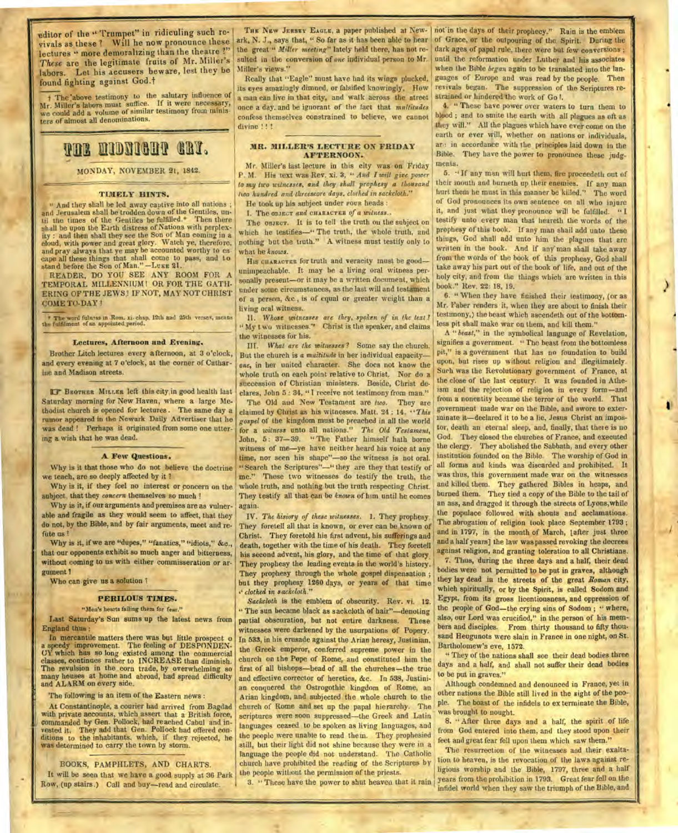**Editor of the " Trumpet" in ridiculing such revivals as these ? Will he now pronounce these lectures " more demoralizing than the theatre ?"**  *These* **are the legitimate fruits of Mr. Miller's labors. Let his accusers beware, lest they be found fighting** against God.t

t The "above testimony to the salutary influence of Mr. Miller's labors must suffice. If it were necessary, we could add a volume of similar testimony from ministers of almost all denominations.

## **VAL NIDNIGHT GRY.**

MONDAY, NOVEMBER **21,** 1842.

#### TIMELY HINTS.

" And they shall be led away captive into all nations ; and Jerusalem shall be trodden down of the Gentiles, until the times of the Gentiles be fulfilled.\* Then there shall be upon the Earth distress of Nations with perplexity : and then shall they see the Son of Man coming in a cloud, with power and great glory. Watch ye, therefore, and pray always that ye may be accounted worthy to es cape all these things that shall come to pass, and to stand before the Son of Man." —Luke 21.

READER, DO YOU SEE ANY ROOM FOR A TEMPORAL MILLENNIUM! OR FOR THE GATH-ERING OF THE JEWS? IF NOT, MAY NOT CHRIST **COME TO-DAY!** 

**\* The word fulness in Rom. xi. chap. 12th and 25th verses, means the fulfilment of an appointed period.** 

#### Lectures, **Afternoon and Evening.**

Brother Litch lectures every afternoon, at 3 o'clock, and every evening at 7 o'clock, at the corner of Catharine and Madison streets.

**BROTHER MILLER left this city in good health last** Saturday morning for New Haven, where a large Methodist church is opened for lectures . The same day a rumor appeared in the Newark Daily Advertiser that he was dead ! Perhaps it originated from some one uttering a wish that he was dead.

#### **A Few Questions.**

Why is it that those who do not believe the doctrine we teach, are so deeply affected by it ?

Why is it, if they feel no interest or concern on the subject, that they *concern* themselves so much!

Why is it, if our arguments and premises are as vulnerable and fragile as they would seem to affect, that they do not, by the Bible, and by fair arguments, meet and refute us ?

Why is it, if we are "dupes," "fanatics," "idiots," &c., that our opponents exhibit so much anger and bitterness, without coming to us with either commisseration or argument 1

Who can give us a solution ?

#### **PERILOUS TIMES.**

"Men's hearts failing them for fear."

Last Saturday's Sun sums up the latest news from England thus :

In mercantile matters there was but little prospect o a speedy improvement. The feeling of DESPONDEN-CY which has so long existed among the commercial lasses, continues rather to INCREASE than diminish. The revulsion in the corn trade, by overwhelming so many houses at home and abroad, had spread difficulty and ALARM on every side.

The following is an item of the Eastern news :

At Constantinople, a courier had arrived from Bagdad with private accounts, which assert that a British force, commanded by Gen. Pollock, had reached Cabul and in-vested it. They add that Gen. Pollock had offered con• ditions to the inhabitants, which, if they rejected, he was determined to carry the town by storm.

BOOKS, PAMPHLETS, AND CHARTS.

It will be seen that we have a good supply at 36 Park Row, (up stairs.) Call and buy—read and circulate.

THE NEW JERSEY EAGLE, a paper published at New- not in the days of their prophecy." Rain is the emblem ark, N. J., says that, " So far as it has been able to hear the great " *Miller meeting"* lately held there, has not resulted in the conversion of *one* individual person to **Mr. Miller's** views."

Really that "Eagle" must have had its wings plucked, its eyes amazingly dimned, or falsified knowingly, How a man can live in that city, and walk across the street once a day. and be ignorant of the fact that *multitudes*  confess themselves constrained to believe, we cannot divine !!!

#### **MR. MILLER'S LECTURE ON FRIDAY AFTERNOON.**

Mr. Miller's last lecture in this city was on Friday P. M. His text was Rev. xi. 3, *"And I will give power to* **my** *two witnesses, and they shall prophesy a thousand two hundred and threescore days, clothed in sackcloth."* 

He took up his subject under rovn heads :

I. The **OBJECT** *and* **CHARACTER** *Of a witness..* 

The **OBJECT.** It is to tell the truth on the subject on which he testifies-" The truth, the whole truth, and nothing hut the truth." A witness must testify only to what he *knows.* 

**HIS CHARACTER** for truth and veracity must he good unimpeachable. It may be a living oral witness personally present—or it may be a written document, which under some circumstances, as the last will and testament of a person, &c., is of equal or greater weight than a living oral witness.

" My two witnesses." Christ is the speaker, and claims 11. Whose witnesses are they, spoken of in the text? the witnesses for his.

**HI.** *What arc the witnesses ?* Some say the church. But the church is a *multitude* in her individual capacity *one,* in her united character. She does not know the whole truth on each point relative to Christ. Nor do a succession of Christian ministers. Beside, Christ declares, John 5 : 34, " I receive not testimony from man."

The Old and New Testament are *two.* They are claimed by Christ as his witnesses. Matt. 24 : 14. *''This gospel* of the kingdom must be preached in all the world for a *witness* unto all nations." *The Old Testament,*  John, 5: 37-39. " The Father himself hath borne witness of me—ye have neither heard his voice at any time, nor seen his shape"—so the witness is not oral. "Search the Scriptures"—" they are they that testify of me." These two witnesses do testify the truth, the whole truth, and nothing but the truth respecting Christ. They testify all that can be *known* of him until he comes again.

IV. *The hisiory of these witnesses.* 1. They prophesy. They foretell all that is known, or ever can be known of Christ. They foretold his first advent, his sufferings and death, together with the time of his death. They foretell his second advent, his glory, and the time of that glory. They prophesy the leading events in the world's history. They prophesy through the whole gospel dispensation ; but they prophesy 1260 days, or years of that time *,' clothed in sackcloth."* 

*Sackcloth* is the emblem of obscurity. Rev. vi. 12. " The sun became black as sackcloth of hair"-denoting partial obscuration, but not entire darkness. These witnesses were darkened by the usurpations of Popery. In 533, in his crusade against the Arian heresy, Justinian, the Greek emperor, conferred supreme power in the church on the Pope of Rome, and constituted him the first of all bishops—head of all the churches—the true and effective corrector of heretics, &c. In 538, Justinian conquered the Ostrogothic kingdom of Rome, an Arian kingdom, and subjected the whole church to the church of Rome and set up the papal hierarchy. The scriptures were soon suppressed—the Greek and Latin languages ceased to be spoken as living languages, and the people were unable to read them. They prophesied still, but their light did not shine because they were in a language the people did not understand. The Catholic church have prohibited the reading of the Scriptures by the people without the permission of the priests.

3. " These have the power to shut heaven that it rain

of Grace, or the outpouring of the Spirit. During the dark ages of papal rule, there were but few conversions ; until the reformation under Luther and his associates when the Bible *began* again to be translated into the languages of Europe and was read by the people. Then revivals began. The suppression of the Scriptures restrained or hindered the work of Go I.

4. " These have power over waters to turn them to blood ; and to smite the earth with all plagues as oft as they will." All the plagues which have ever come on the earth or ever will, whether on nations or individuals, an: in accordance with the principles laid down in the Bible. They have the power to pronounce these judgments.

5. " If any man will hurt them, fire proceedeth out of their mouth and hurneth up their enemies. If any man hurt them he must in this manner be kiiled.'' The word of God pronounces its own sentence on all who injure it, and just what they pronounce will be fulfilled. testify unto every man that heareth the words of the prophesy of this book. If *any* man shall add unto these things, God shall add unto him the plagues that are written in the book. And if any man shall take away front the words of the hook of this prophesy, God shall take away his part out of the book of life, and out of the holy city, and from the things which are written in this book." Rev. **22: 18, 19.** 

**6. "** When they have finished their testimony, (or as Mr. Faber renders it, when they are about to finish their testimony,) the beast which ascendeth out of the bottomless pit shall make war on them, and kill them."

A *"beast,"* in the symbolical language of Revelation, signifies a government. " The beast from the bottomless pit," is a government that has no foundation to build upon, but rises up without religion and illegitimately. Such was the Revolutionary government of France, at the close of the last century. It was founded in Atheism and the rejection of religion in every form—and from a nonentity became the terror of the world. That government made war on the Bible, and swore to exterminate it—declared it to be a lie, Jesus Christ an impostor, death an eternal sleep, and, finally, that there is no God. They closed the churches of France, and executed the clergy. They abolished the Sabbath, and every other institution founded on the Bible. The worship of God in all forms and kinds was discarded and prohibited. It was thus, this government made war on the witnesses and killed them. They gathered Bibles in heaps, and burned them. They tied a copy of the Bible to the tail of an ass, and dragged it through the streets of Lyons, while the populace followed with shouts and acclamations. The abrogation of religion took place September 1793 ; and in 1797, in the month of March, lafter just three and a half years] the law was passed revoking the decrees against religion, and granting toleration to all Christians.

7. Thus, during the three days and a half, their dead bodies were not permitted to be put in graves, although they lay dead in the streets of the great *Roman* city, which spiritually, or by the Spirit, is called Sodom and Egypt, from its gross licentiousness, and oppression of the people of God—the crying sins of Sodom ; " where, also, our Lord was crucified," in the person of his members and disciples. From thirty thousand to fifty thousand Heugunots were slain in France in one night, on St. Bartholomew's eve, 1572.

" They of the nations shall see their dead bodies three days and a half, and shall not suffer their dead bodies **to** be put in graves."

Although condemned and denounced in France, yet in other nations the Bible still lived in the sight of the people. The boast of the infidels to ex terminate the Bible, was brought to nought.

8. " After three days and a half, the spirit of life from God entered into them, and they stood upon their feet and great fear fell upon them which saw them."

The resurrection of the witnesses and their exaltation to heaven, is the revocation of the laws against religious worship and the Bible, 1797, three and a half years from the prohibition in 1793. Great fear fell on the infidel world when they saw the triumph of the Bible, and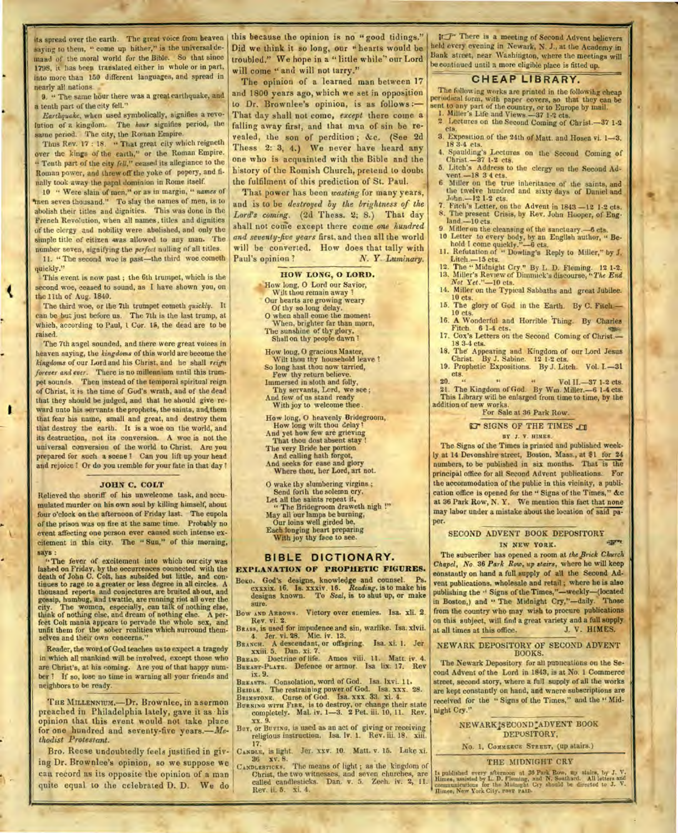its spread over the earth. The great voice from heaven saying to them, " come up hither," is the universal demand of the moral world for the Bible. So that since 1798, it has been translated either in whole or in part, into more than 150 different languages, and spread in nearly all nations.

9. " The same hour there was a great earthquake, and a tenth part of the city fell."

*Earthquake,* when used symbolically, signifies a revolution of a kingdom. The *hour* signifies period, the same period. The city, the Roman Empire.

Thus Rev. 17 : 18. " That great city which reigneth over the kings of the earth," or the Roman Empire. " Tenth part of the city *fell,"* ceased its allegiance to the Roman power, and threw off the yoke of popery, and finally took away the papal dominion in Rome itself.

10 " Were slain of men," or as in margin, " *names* of 'men seven thousand." To slay the names of men, is to abolish their titles and dignities. This was done in the French Revolution, when all names. titles and dignities of the clergy and nobility were abolished, and only the simple title of citizen was allowed to any man. The number seven, signifying the *perfect* nulling of all titles.

11. " The second woe is past-the third woe cometh quickly."

This event is now past ; the 6th trumpet, which is the second woe, ceased to sound, as I have shown you, on the 11th of Aug. 1840.

The third woe, or the 7th trumpet cometh *quickly.* It can be but just before us. The 7th is the last trump, at which, according to Paul, 1 Cor. 15, the dead are to be raised.

The 7th angel sounded, and there were great voices in heaven saying, the *kingdoms* of this world are become the *kingdoms* of our Lord and his Christ, and he shall *reign forever and ever.* There is no millennium until this trumpet sounds. Then instead of the temporal spiritual reign of Christ. it is the time of God's wrath, and of the dead that they should be judged, and that he should give reward unto his servants the prophets, the saints, and them that fear his name, small and great, and destroy them that destroy the earth. It is a woe on the world, and its destruction, not its conversion. A woe is not the universal conversion of the world to Christ. Are you prepared for such a scene I Can you lift up your head and rejoice ! Or do you tremble for your fate in that day !

ı

#### **JOHN C. COLT**

Relieved the sheriff of his unwelcome task, and accumulated murder on his own soul by killing himself, about four o'clock on the afternoon of Friday last. The cupola of the prison was on fire at the same time. Probably no event affecting one person ever caused such intense excitement in this city. The " Sun," of this morning, says:

"The fever of excitement into which our city was lashed on Friday, by the occurrences connected with the death of John C. Colt, has subsided but little, and continues to rage to a greater or less degree in all circles. A thousand reports and conjectures are bruited ab out, and gossip, humbug, and twattle, are running riot all over the city. The women, especially, can talk of nothing else, think of nothing else, and dream of nothing else. A perfect Colt mania appears to pervade the whole sex, and unfit them for the sober realities which surround themselves and their own concerns."

Reader, the word of God teaches us to expect a tragedy in which all mankind will be involved, except those who are Christ's, at his coming. Are you of that happy number ? If so, lose no time in warning all your friends and neighbors to be ready.

THE MILLENNIUM,-Dr. Brownlee, in a sermon preached in Philadelphia lately, gave it as his opinion that this event would not take place for one hundred and seventy-five years.-*Methodist Protestant.* 

Bro. Reese undoubtedly feels justified in giving Dr. Brownlee's opinion, so we suppose we can record as its opposite the opinion of a man quite equal to the celebrated D. D. We do

this because the opinion is no "good tidings." Did we think it so long, our " hearts would be troubled." We hope in a " little while" our Lord will come " and will not tarry."

The opinion of a learned man between *17*  and 1800 years ago, which we set in opposition to Dr. Brownlee's opinion, is as follows :-That day shall not come, *except* there come a falling away first, and that man of sin he revealed, the son of perdition ; &c. (See 2d Thess 2: 3, 4.) We never have heard any one who is acquainted with the Bible and the history of the Romish Church, pretend to doubt the fulfilment of this prediction of St. Paul.

That power has been *wasting* for many years, and is to be *destroyed* by *the brightness of the Lord's coming.* (2d Thess. 2; 8.) That day shall not come except there come one hundred *and seventy-five years* first, and then all the world will be converted. How does that tally with Paul's opinion ? N. Y. *Luminary*.

#### **HOW LONG, 0 LORD.**

How long, 0 Lord our Savior, Wilt thou remain away ! Our hearts are growing weary Of thy so long delay. **0** when shall come the moment When, brighter far than morn, The sunshine of thy glory, Shall on thy people dawn

How long, 0 gracious Master, Wilt thou thy household leave ? So long hast thou now tarried, Few thy return believe. Immersed in sloth and folly, Thy servants, Lord, we see ; And few of us stand ready With joy to welcome thee.

How long, 0 heavenly Bridegroom, How long wilt thou delay 1

And yet how few are grieving

That thou dost absent stay ! The very Bride her portion

And calling bath forgot,

And seeks for ease and glory Where thou, her Lord, art not.

0 wake thy slumbering virgins ;

Send forth the solemn cry,

Let all the saints repeat it,

" The Bridegroom draweth nigh !" May all 'our lamps be burning,

Our loins well girded be, Each longing heart. preparing

With joy thy face to see.

#### **BIBLE DICTIONARY.**

**EXPLANATION OF PROPHETIC FIGURES.** 

Botio. God's designs, knowledge and counsel. Ps. cxxxix. 16. Is. xxxiv. 16. *Reading,* is to make his designs known. To *Seal, is* to shut up, or make sure.

Bow AND ARROWS. Victory over enemies. Isa. xli. 2. Rev. vi. 2.

BRASS, is used for impudence and sin, warlike. Isa. xlvii. 4. Jer. vi. 28. Mic. iv. 13.<br>BRANCH. A descendant, or offsp

A descendant, or offspring. Isa. xi. 1. Jer. xxiii. 5. Dan. xi. 7.

BREAD. Doctrine of life. Amos viii. 11. Matt. iv. 4. BREAST-PLATE. Defence or armor. Isa lix. 17. Rev

ix. 9.

BREASTS. Consolation, word of Cod. Isa. lxvi. 11. BRIDLE. The restraining power of God. Isa. xxx. 28. BRIMSTONE. Curse of God. Isa. xxx. 33. xi. 4.

BURNING WITH FIRE, is to destroy, or change their state completely. Mal. iv. 1-3. 2 Pet. iii. 10, 11. Rev. xx. 9.

BUY, or Buvixo, is used as an act of giving or receiving religious instruction. Isa. Iv. I. Rev. iii. 18. xiii. 17.

CANDLE, is light. Jer. xxv. 10. Matt. v. 15. Luke xi.<br>36 xv. 8.<br>CANDLESTICKS. The means of light; as the kingdom of

Christ, the two witnesses, and seven churches, are called candlesticks. Dan. v. 5. Zech. iv. 2, 11. Rev. ii. 5. xi. 4.

IT There is a meeting of Second Advent believers held every evening in Newark, N. J., at the Academy in Bank street, near Washington, where the meetings will be continued until a more eligible place is fitted up.

#### **CHEAP LIBRARY.**

The following works are printed in the followihg cheap periodical form, with paper covers, so that they can be sent to any part of the country, or to Europe by mail.<br>
1. Miller's Life and Views.—37 1-2 cts.

- 2. Lectures on the Second Coming of Christ.-37 1-2 cts.
- 3. Exposition of the 24th of Matt. and Hosea vi. 1-3. 18 3-4 cts.
- 4. Spaulding's Lectures on the Second Coming of Christ.-37 1-2 cts. 5. Litch's Address to the clergy on the Second Ad-
- vent.-18 3 4 cts. 6. Miller on the true inheritance of the saints, and
- the twelve hundred and sixty days of Daniel and John.-12 1-2 cts.
- Fitch's Letter, on the Advent in 1843 -12 1-2 cts. 8. The present Crisis, by Rev. John Hooper, of England.-10 cts.
- 9 Miller on the cleansing of the sanctuary.--6 **cts.**  10 Letter to every body, by an English author, " Be-
- Miller on the cleansing of the s<br>Letter to every body, by an 1<br>hold I come quickly."-6 cts.<br>Refutation of "Dowling's R 11. Refutation of " Dowling's Reply to Miller," by J.
- Litch.-15 cts.
- 12. The " Midnight Cry." By L. D. Fleming. 12 1-2. 13. Miller's Review of Dimmick's discourse, *"The End Not Y et ."-10* cts.

14. Miller on the Typical Sabbaths and great Jubilee. 10 cts.

- 15. The glory of God in the Earth. By C. Fitch --
- 10 cts.<br> **16. A** Wonderful and Horrible Thing. By Charles Fitch. 6 1-4 cts.<br>
17. Cox's Letters on the Second Coming of Christ.-
- 18 3-4 cts.

18. The Appearing and Kingdom of our Lord Jesus Christ. By J. Sabine. 12 1-2 cts. 19. Prophetic Expositions. By J. Litch. Vol. 1.-31

ets.<br>20. 20. " Vol 11.-37 1-2 cts.

21. The Kingdom of God. By Wm. Miller. - 6 1-4 cts. This I,ibrary will be enlarged from time to time, by the addition of new works.

#### For Sale at 36 Park Row.

#### GT SIGNS OF THE TIMES , GI BY J. Y. HINES.

The Signs of the Times is printed and published weekly at 14 Devonshire street, Boston, Mass., at \$1 for 24 numbers, to be published in six months. That is the principal office for all Second Advent publications. For the accommodation of the public in this vicinity, a publication office is opened for the " Signs of the Times," &c at 36 Park Row, N. Y. We mention this fact that none may labor under a mistake about the location of said paper.

#### SECOND ADVENT BOOK DEPOSITORY IN NEW YORK.

The subscriber has opened a room at *the prick Church Chapel, No.* 36 *Park Row, up stairs,* where he will keep constantly on hand a full supply of all the Second Advent publications, wholesale and retail ; where he is also publishing the " Signs of the Times,"-weekly-(located in Boston,) and " The Midnight Cry,"-daily. Those from the country who may wish to procure publications on this subject, will find a great variety and a full supply<br>at all times at this office. J. V. HIMES. at all times at this office.

#### NEWARK DEPOSITORY OF SECOND ADVENT BOOKS.

The Newark Depository for all putmcations on the Second Advent of the Lord in 1843, is at No. 1 Commerce street, second story, where a full supply of all the works are kept constantly on hand, and wnere subscriptions are received for the " Signs of the Times," and the " Midnight Cry."

> NE WARK1S ECOND:ADVENT BOOK DEPOSITORY,

No. 1, Commerce STREET, (up stairs.)

#### THE MIDNIGHT CRY

Is published every afternoon at 36 Park Row, up stairs, by J. V.<br>Himes, assisted by L. D. Fleming, and N. Southard. All letters and communications for the Mulangh city should be directed to J. V.<br>Communications for the Mul